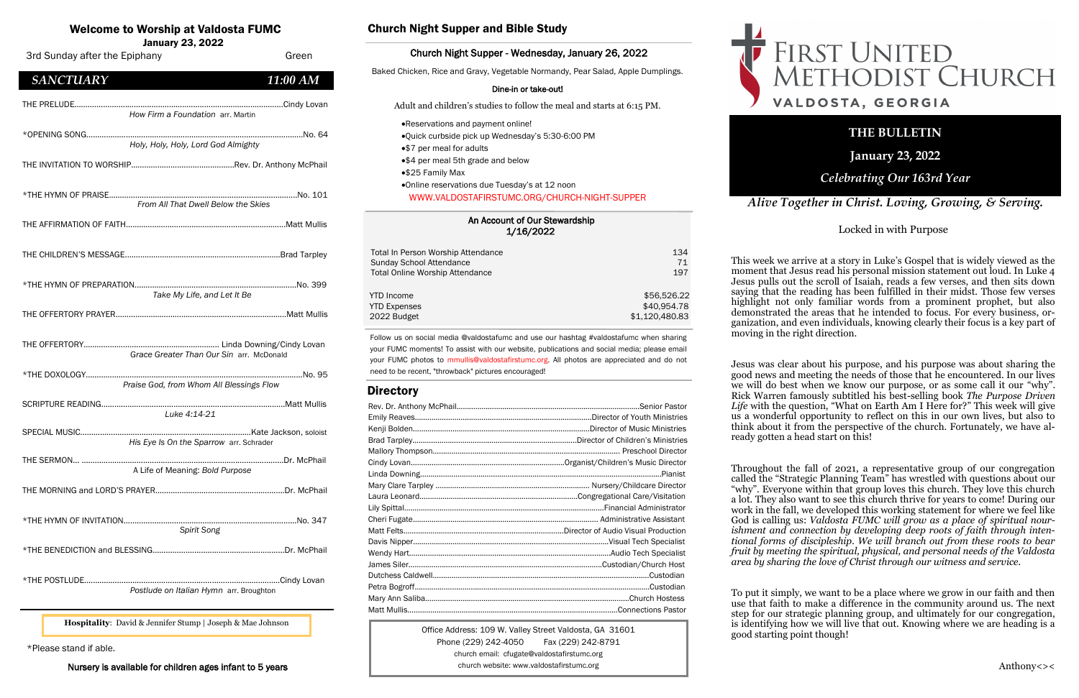#### An Account of Our Stewardship 1/16/2022

| Total In Person Worship Attendance     | 134            |
|----------------------------------------|----------------|
| Sunday School Attendance               | 71             |
| <b>Total Online Worship Attendance</b> | 197            |
| <b>YTD</b> Income                      | \$56,526.22    |
| <b>YTD Expenses</b>                    | \$40,954.78    |
| 2022 Budget                            | \$1,120,480.83 |

# Welcome to Worship at Valdosta FUMC

January 23, 2022

Office Address: 109 W. Valley Street Valdosta, GA 31601 Phone (229) 242-4050 Fax (229) 242-8791 church email: cfugate@valdostafirstumc.org church website: www.valdostafirstumc.org





# *Alive Together in Christ. Loving, Growing, & Serving.*

# **THE BULLETIN**

**January 23, 2022**

# *Celebrating Our 163rd Year*

Follow us on social media @valdostafumc and use our hashtag #valdostafumc when sharing your FUMC moments! To assist with our website, publications and social media; please email your FUMC photos to mmullis@valdostafirstumc.org. All photos are appreciated and do not need to be recent, "throwback" pictures encouraged!

## **Directory**

## Church Night Supper and Bible Study

#### Church Night Supper - Wednesday, January 26, 2022

Baked Chicken, Rice and Gravy, Vegetable Normandy, Pear Salad, Apple Dumplings.

#### Dine-in or take-out!

Adult and children's studies to follow the meal and starts at 6:15 PM.

- •Reservations and payment online!
- •Quick curbside pick up Wednesday's 5:30-6:00 PM
- •\$7 per meal for adults
- •\$4 per meal 5th grade and below
- •\$25 Family Max
- •Online reservations due Tuesday's at 12 noon WWW.VALDOSTAFIRSTUMC.ORG/CHURCH-NIGHT-SUPPER

\*Please stand if able.

Nursery is available for children ages infant to 5 years

**Hospitality**: David & Jennifer Stump | Joseph & Mae Johnson



Locked in with Purpose

This week we arrive at a story in Luke's Gospel that is widely viewed as the moment that Jesus read his personal mission statement out loud. In Luke 4 Jesus pulls out the scroll of Isaiah, reads a few verses, and then sits down saying that the reading has been fulfilled in their midst. Those few verses highlight not only familiar words from a prominent prophet, but also demonstrated the areas that he intended to focus. For every business, organization, and even individuals, knowing clearly their focus is a key part of moving in the right direction.

Jesus was clear about his purpose, and his purpose was about sharing the good news and meeting the needs of those that he encountered. In our lives we will do best when we know our purpose, or as some call it our "why". Rick Warren famously subtitled his best-selling book *The Purpose Driven Life* with the question, "What on Earth Am I Here for?" This week will give us a wonderful opportunity to reflect on this in our own lives, but also to think about it from the perspective of the church. Fortunately, we have already gotten a head start on this!

Throughout the fall of 2021, a representative group of our congregation called the "Strategic Planning Team" has wrestled with questions about our "why". Everyone within that group loves this church. They love this church a lot. They also want to see this church thrive for years to come! During our work in the fall, we developed this working statement for where we feel like God is calling us: *Valdosta FUMC will grow as a place of spiritual nourishment and connection by developing deep roots of faith through intentional forms of discipleship. We will branch out from these roots to bear fruit by meeting the spiritual, physical, and personal needs of the Valdosta area by sharing the love of Christ through our witness and service.*

To put it simply, we want to be a place where we grow in our faith and then use that faith to make a difference in the community around us. The next step for our strategic planning group, and ultimately for our congregation, is identifying how we will live that out. Knowing where we are heading is a

good starting point though!

# FIRST UNITED<br>METHODIST CHURCH VALDOSTA, GEORGIA